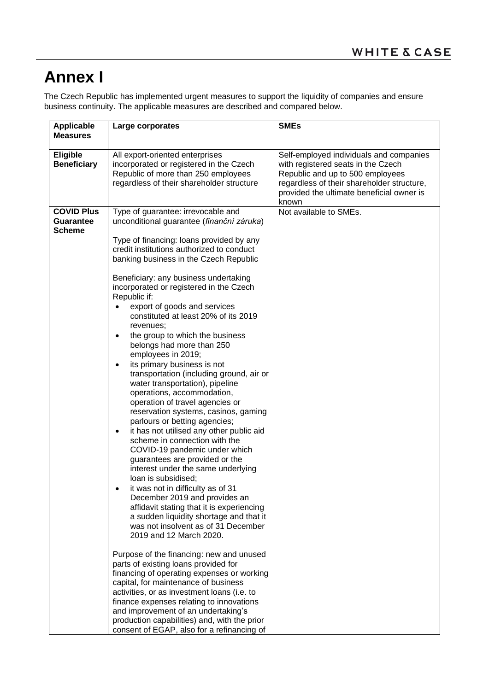## **Annex I**

The Czech Republic has implemented urgent measures to support the liquidity of companies and ensure business continuity. The applicable measures are described and compared below.

| <b>Applicable</b><br><b>Measures</b>                   | Large corporates                                                                                                                                                                                                                                                                                                                                                                                                                                                                                                                                                                                                                                                                                                                                                                                                                                                                                                                                                                                                                                                                                                                                                                                                                                                                                                                                                                                                                                                                                                                                                                             | <b>SMEs</b>                                                                                                                                                                                                           |
|--------------------------------------------------------|----------------------------------------------------------------------------------------------------------------------------------------------------------------------------------------------------------------------------------------------------------------------------------------------------------------------------------------------------------------------------------------------------------------------------------------------------------------------------------------------------------------------------------------------------------------------------------------------------------------------------------------------------------------------------------------------------------------------------------------------------------------------------------------------------------------------------------------------------------------------------------------------------------------------------------------------------------------------------------------------------------------------------------------------------------------------------------------------------------------------------------------------------------------------------------------------------------------------------------------------------------------------------------------------------------------------------------------------------------------------------------------------------------------------------------------------------------------------------------------------------------------------------------------------------------------------------------------------|-----------------------------------------------------------------------------------------------------------------------------------------------------------------------------------------------------------------------|
| Eligible<br><b>Beneficiary</b>                         | All export-oriented enterprises<br>incorporated or registered in the Czech<br>Republic of more than 250 employees<br>regardless of their shareholder structure                                                                                                                                                                                                                                                                                                                                                                                                                                                                                                                                                                                                                                                                                                                                                                                                                                                                                                                                                                                                                                                                                                                                                                                                                                                                                                                                                                                                                               | Self-employed individuals and companies<br>with registered seats in the Czech<br>Republic and up to 500 employees<br>regardless of their shareholder structure,<br>provided the ultimate beneficial owner is<br>known |
| <b>COVID Plus</b><br><b>Guarantee</b><br><b>Scheme</b> | Type of guarantee: irrevocable and<br>unconditional guarantee (finanční záruka)<br>Type of financing: loans provided by any<br>credit institutions authorized to conduct<br>banking business in the Czech Republic<br>Beneficiary: any business undertaking<br>incorporated or registered in the Czech<br>Republic if:<br>export of goods and services<br>constituted at least 20% of its 2019<br>revenues;<br>the group to which the business<br>belongs had more than 250<br>employees in 2019;<br>its primary business is not<br>$\bullet$<br>transportation (including ground, air or<br>water transportation), pipeline<br>operations, accommodation,<br>operation of travel agencies or<br>reservation systems, casinos, gaming<br>parlours or betting agencies;<br>it has not utilised any other public aid<br>$\bullet$<br>scheme in connection with the<br>COVID-19 pandemic under which<br>guarantees are provided or the<br>interest under the same underlying<br>loan is subsidised;<br>it was not in difficulty as of 31<br>December 2019 and provides an<br>affidavit stating that it is experiencing<br>a sudden liquidity shortage and that it<br>was not insolvent as of 31 December<br>2019 and 12 March 2020.<br>Purpose of the financing: new and unused<br>parts of existing loans provided for<br>financing of operating expenses or working<br>capital, for maintenance of business<br>activities, or as investment loans (i.e. to<br>finance expenses relating to innovations<br>and improvement of an undertaking's<br>production capabilities) and, with the prior | Not available to SMEs.                                                                                                                                                                                                |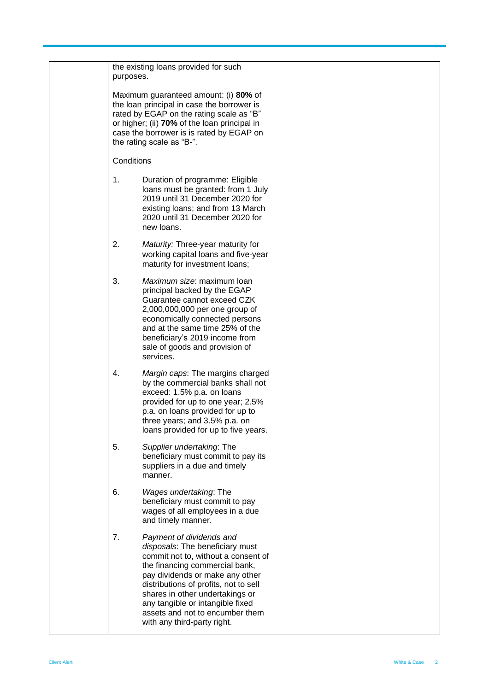| the existing loans provided for such<br>purposes.                                                                                                                                                                                                                                                                                                               |  |
|-----------------------------------------------------------------------------------------------------------------------------------------------------------------------------------------------------------------------------------------------------------------------------------------------------------------------------------------------------------------|--|
| Maximum guaranteed amount: (i) 80% of<br>the loan principal in case the borrower is<br>rated by EGAP on the rating scale as "B"<br>or higher; (ii) 70% of the loan principal in<br>case the borrower is is rated by EGAP on<br>the rating scale as "B-".                                                                                                        |  |
| Conditions                                                                                                                                                                                                                                                                                                                                                      |  |
| 1.<br>Duration of programme: Eligible<br>loans must be granted: from 1 July<br>2019 until 31 December 2020 for<br>existing loans; and from 13 March<br>2020 until 31 December 2020 for<br>new loans.                                                                                                                                                            |  |
| 2.<br>Maturity: Three-year maturity for<br>working capital loans and five-year<br>maturity for investment loans;                                                                                                                                                                                                                                                |  |
| 3.<br><i>Maximum size</i> : maximum loan<br>principal backed by the EGAP<br>Guarantee cannot exceed CZK<br>2,000,000,000 per one group of<br>economically connected persons<br>and at the same time 25% of the<br>beneficiary's 2019 income from<br>sale of goods and provision of<br>services.                                                                 |  |
| 4.<br>Margin caps: The margins charged<br>by the commercial banks shall not<br>exceed: 1.5% p.a. on loans<br>provided for up to one year; 2.5%<br>p.a. on loans provided for up to<br>three years; and 3.5% p.a. on<br>loans provided for up to five years.                                                                                                     |  |
| 5.<br>Supplier undertaking: The<br>beneficiary must commit to pay its<br>suppliers in a due and timely<br>manner.                                                                                                                                                                                                                                               |  |
| 6.<br>Wages undertaking: The<br>beneficiary must commit to pay<br>wages of all employees in a due<br>and timely manner.                                                                                                                                                                                                                                         |  |
| 7.<br>Payment of dividends and<br>disposals: The beneficiary must<br>commit not to, without a consent of<br>the financing commercial bank,<br>pay dividends or make any other<br>distributions of profits, not to sell<br>shares in other undertakings or<br>any tangible or intangible fixed<br>assets and not to encumber them<br>with any third-party right. |  |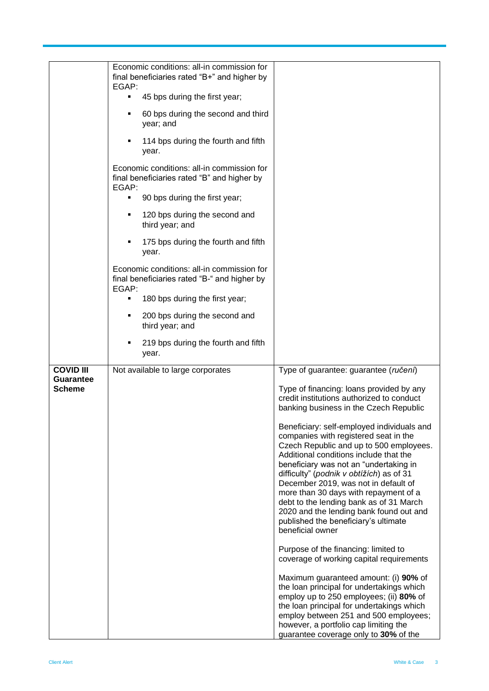|                               | Economic conditions: all-in commission for<br>final beneficiaries rated "B+" and higher by<br>EGAP:<br>45 bps during the first year;<br>٠ |                                                                                                                                                                                                                                                                                                                                                                                                                                                                                                   |
|-------------------------------|-------------------------------------------------------------------------------------------------------------------------------------------|---------------------------------------------------------------------------------------------------------------------------------------------------------------------------------------------------------------------------------------------------------------------------------------------------------------------------------------------------------------------------------------------------------------------------------------------------------------------------------------------------|
|                               | 60 bps during the second and third<br>٠<br>year; and                                                                                      |                                                                                                                                                                                                                                                                                                                                                                                                                                                                                                   |
|                               | 114 bps during the fourth and fifth<br>٠<br>year.                                                                                         |                                                                                                                                                                                                                                                                                                                                                                                                                                                                                                   |
|                               | Economic conditions: all-in commission for<br>final beneficiaries rated "B" and higher by<br>EGAP:                                        |                                                                                                                                                                                                                                                                                                                                                                                                                                                                                                   |
|                               | 90 bps during the first year;                                                                                                             |                                                                                                                                                                                                                                                                                                                                                                                                                                                                                                   |
|                               | 120 bps during the second and<br>٠<br>third year; and                                                                                     |                                                                                                                                                                                                                                                                                                                                                                                                                                                                                                   |
|                               | 175 bps during the fourth and fifth<br>٠<br>year.                                                                                         |                                                                                                                                                                                                                                                                                                                                                                                                                                                                                                   |
|                               | Economic conditions: all-in commission for<br>final beneficiaries rated "B-" and higher by<br>EGAP:                                       |                                                                                                                                                                                                                                                                                                                                                                                                                                                                                                   |
|                               | 180 bps during the first year;<br>٠                                                                                                       |                                                                                                                                                                                                                                                                                                                                                                                                                                                                                                   |
|                               | 200 bps during the second and<br>٠<br>third year; and                                                                                     |                                                                                                                                                                                                                                                                                                                                                                                                                                                                                                   |
|                               | 219 bps during the fourth and fifth<br>٠<br>year.                                                                                         |                                                                                                                                                                                                                                                                                                                                                                                                                                                                                                   |
| <b>COVID III</b><br>Guarantee | Not available to large corporates                                                                                                         | Type of guarantee: guarantee (ručení)                                                                                                                                                                                                                                                                                                                                                                                                                                                             |
| <b>Scheme</b>                 |                                                                                                                                           | Type of financing: loans provided by any<br>credit institutions authorized to conduct<br>banking business in the Czech Republic                                                                                                                                                                                                                                                                                                                                                                   |
|                               |                                                                                                                                           | Beneficiary: self-employed individuals and<br>companies with registered seat in the<br>Czech Republic and up to 500 employees.<br>Additional conditions include that the<br>beneficiary was not an "undertaking in<br>difficulty" (podnik v obtížích) as of 31<br>December 2019, was not in default of<br>more than 30 days with repayment of a<br>debt to the lending bank as of 31 March<br>2020 and the lending bank found out and<br>published the beneficiary's ultimate<br>beneficial owner |
|                               |                                                                                                                                           | Purpose of the financing: limited to<br>coverage of working capital requirements                                                                                                                                                                                                                                                                                                                                                                                                                  |
|                               |                                                                                                                                           | Maximum guaranteed amount: (i) 90% of<br>the loan principal for undertakings which<br>employ up to 250 employees; (ii) 80% of<br>the loan principal for undertakings which<br>employ between 251 and 500 employees;<br>however, a portfolio cap limiting the<br>guarantee coverage only to 30% of the                                                                                                                                                                                             |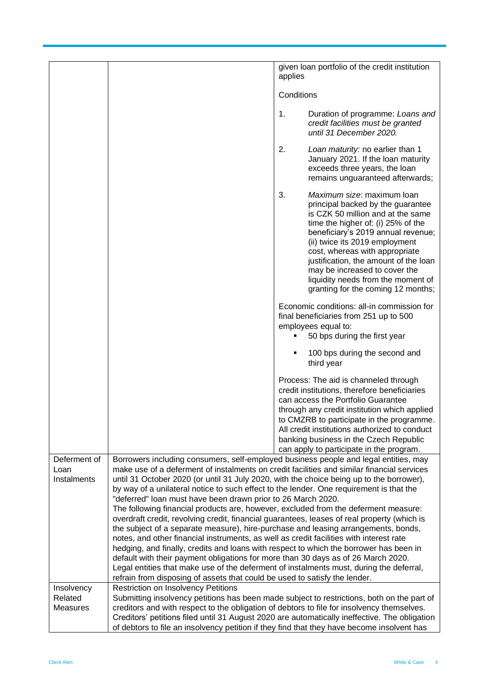|                            |                                                                                                                                                                                                                                                                                                                                                                                                                                                                                                                                                                                                                                               | given loan portfolio of the credit institution<br>applies                                                                                                                                                                                                                                                                                                                                                                |  |
|----------------------------|-----------------------------------------------------------------------------------------------------------------------------------------------------------------------------------------------------------------------------------------------------------------------------------------------------------------------------------------------------------------------------------------------------------------------------------------------------------------------------------------------------------------------------------------------------------------------------------------------------------------------------------------------|--------------------------------------------------------------------------------------------------------------------------------------------------------------------------------------------------------------------------------------------------------------------------------------------------------------------------------------------------------------------------------------------------------------------------|--|
|                            |                                                                                                                                                                                                                                                                                                                                                                                                                                                                                                                                                                                                                                               | Conditions                                                                                                                                                                                                                                                                                                                                                                                                               |  |
|                            |                                                                                                                                                                                                                                                                                                                                                                                                                                                                                                                                                                                                                                               | 1.<br>Duration of programme: Loans and<br>credit facilities must be granted<br>until 31 December 2020.                                                                                                                                                                                                                                                                                                                   |  |
|                            |                                                                                                                                                                                                                                                                                                                                                                                                                                                                                                                                                                                                                                               | 2.<br>Loan maturity: no earlier than 1<br>January 2021. If the loan maturity<br>exceeds three years, the loan<br>remains unguaranteed afterwards;                                                                                                                                                                                                                                                                        |  |
|                            |                                                                                                                                                                                                                                                                                                                                                                                                                                                                                                                                                                                                                                               | 3.<br><i>Maximum size</i> : maximum loan<br>principal backed by the guarantee<br>is CZK 50 million and at the same<br>time the higher of: (i) 25% of the<br>beneficiary's 2019 annual revenue;<br>(ii) twice its 2019 employment<br>cost, whereas with appropriate<br>justification, the amount of the loan<br>may be increased to cover the<br>liquidity needs from the moment of<br>granting for the coming 12 months; |  |
|                            |                                                                                                                                                                                                                                                                                                                                                                                                                                                                                                                                                                                                                                               | Economic conditions: all-in commission for<br>final beneficiaries from 251 up to 500<br>employees equal to:<br>50 bps during the first year                                                                                                                                                                                                                                                                              |  |
|                            |                                                                                                                                                                                                                                                                                                                                                                                                                                                                                                                                                                                                                                               | 100 bps during the second and<br>third year                                                                                                                                                                                                                                                                                                                                                                              |  |
|                            |                                                                                                                                                                                                                                                                                                                                                                                                                                                                                                                                                                                                                                               | Process: The aid is channeled through<br>credit institutions, therefore beneficiaries<br>can access the Portfolio Guarantee<br>through any credit institution which applied<br>to CMZRB to participate in the programme.<br>All credit institutions authorized to conduct<br>banking business in the Czech Republic<br>can apply to participate in the program.                                                          |  |
| Deferment of               |                                                                                                                                                                                                                                                                                                                                                                                                                                                                                                                                                                                                                                               |                                                                                                                                                                                                                                                                                                                                                                                                                          |  |
| Loan<br>Instalments        | Borrowers including consumers, self-employed business people and legal entities, may<br>make use of a deferment of instalments on credit facilities and similar financial services<br>until 31 October 2020 (or until 31 July 2020, with the choice being up to the borrower),<br>by way of a unilateral notice to such effect to the lender. One requirement is that the<br>"deferred" loan must have been drawn prior to 26 March 2020.                                                                                                                                                                                                     |                                                                                                                                                                                                                                                                                                                                                                                                                          |  |
|                            | The following financial products are, however, excluded from the deferment measure:<br>overdraft credit, revolving credit, financial guarantees, leases of real property (which is<br>the subject of a separate measure), hire-purchase and leasing arrangements, bonds,<br>notes, and other financial instruments, as well as credit facilities with interest rate<br>hedging, and finally, credits and loans with respect to which the borrower has been in<br>default with their payment obligations for more than 30 days as of 26 March 2020.<br>Legal entities that make use of the deferment of instalments must, during the deferral, |                                                                                                                                                                                                                                                                                                                                                                                                                          |  |
|                            |                                                                                                                                                                                                                                                                                                                                                                                                                                                                                                                                                                                                                                               |                                                                                                                                                                                                                                                                                                                                                                                                                          |  |
|                            | refrain from disposing of assets that could be used to satisfy the lender.                                                                                                                                                                                                                                                                                                                                                                                                                                                                                                                                                                    |                                                                                                                                                                                                                                                                                                                                                                                                                          |  |
| Insolvency                 | <b>Restriction on Insolvency Petitions</b>                                                                                                                                                                                                                                                                                                                                                                                                                                                                                                                                                                                                    |                                                                                                                                                                                                                                                                                                                                                                                                                          |  |
| Related<br><b>Measures</b> | Submitting insolvency petitions has been made subject to restrictions, both on the part of<br>creditors and with respect to the obligation of debtors to file for insolvency themselves.                                                                                                                                                                                                                                                                                                                                                                                                                                                      |                                                                                                                                                                                                                                                                                                                                                                                                                          |  |
|                            | Creditors' petitions filed until 31 August 2020 are automatically ineffective. The obligation                                                                                                                                                                                                                                                                                                                                                                                                                                                                                                                                                 |                                                                                                                                                                                                                                                                                                                                                                                                                          |  |
|                            | of debtors to file an insolvency petition if they find that they have become insolvent has                                                                                                                                                                                                                                                                                                                                                                                                                                                                                                                                                    |                                                                                                                                                                                                                                                                                                                                                                                                                          |  |